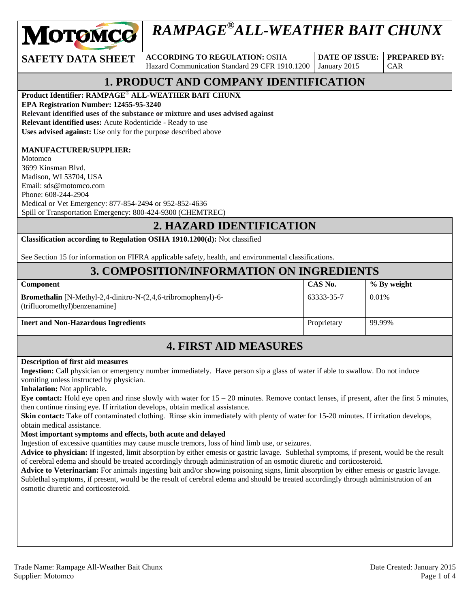

# *RAMPAGE®ALL-WEATHER BAIT CHUNX*

**SAFETY DATA SHEET** ACCORDING TO REGULATION: OSHA Hazard Communication Standard 29 CFR 1910.1200

**DATE OF ISSUE:**  January 2015

CAR

**PREPARED BY:** 

# **1. PRODUCT AND COMPANY IDENTIFICATION**

**Product Identifier: RAMPAGE**® **ALL-WEATHER BAIT CHUNX** 

**EPA Registration Number: 12455-95-3240** 

**Relevant identified uses of the substance or mixture and uses advised against Relevant identified uses:** Acute Rodenticide - Ready to use

**Uses advised against:** Use only for the purpose described above

#### **MANUFACTURER/SUPPLIER:**

Motomco 3699 Kinsman Blvd. Madison, WI 53704, USA Email: sds@motomco.com Phone: 608-244-2904 Medical or Vet Emergency: 877-854-2494 or 952-852-4636 Spill or Transportation Emergency: 800-424-9300 (CHEMTREC)

#### **2. HAZARD IDENTIFICATION**

**Classification according to Regulation OSHA 1910.1200(d):** Not classified

See Section 15 for information on FIFRA applicable safety, health, and environmental classifications.

#### **3. COMPOSITION/INFORMATION ON INGREDIENTS**

| Component                                                                                                 | CAS No.     | % By weight |
|-----------------------------------------------------------------------------------------------------------|-------------|-------------|
| <b>Bromethalin</b> [N-Methyl-2,4-dinitro-N- $(2,4,6$ -tribromophenyl)-6-<br>(trifluoromethyl)benzenamine] | 63333-35-7  | 0.01%       |
| <b>Inert and Non-Hazardous Ingredients</b>                                                                | Proprietary | 99.99%      |

# **4. FIRST AID MEASURES**

#### **Description of first aid measures**

**Ingestion:** Call physician or emergency number immediately. Have person sip a glass of water if able to swallow. Do not induce vomiting unless instructed by physician.

**Inhalation:** Not applicable**.** 

**Eye contact:** Hold eye open and rinse slowly with water for 15 – 20 minutes. Remove contact lenses, if present, after the first 5 minutes, then continue rinsing eye. If irritation develops, obtain medical assistance.

**Skin contact:** Take off contaminated clothing. Rinse skin immediately with plenty of water for 15-20 minutes. If irritation develops, obtain medical assistance.

#### **Most important symptoms and effects, both acute and delayed**

Ingestion of excessive quantities may cause muscle tremors, loss of hind limb use, or seizures.

**Advice to physician:** If ingested, limit absorption by either emesis or gastric lavage. Sublethal symptoms, if present, would be the result of cerebral edema and should be treated accordingly through administration of an osmotic diuretic and corticosteroid.

**Advice to Veterinarian:** For animals ingesting bait and/or showing poisoning signs, limit absorption by either emesis or gastric lavage. Sublethal symptoms, if present, would be the result of cerebral edema and should be treated accordingly through administration of an osmotic diuretic and corticosteroid.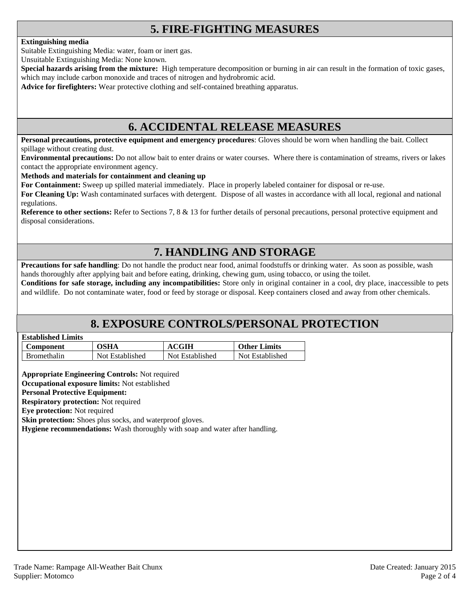# **5. FIRE-FIGHTING MEASURES**

#### **Extinguishing media**

Suitable Extinguishing Media: water, foam or inert gas.

Unsuitable Extinguishing Media: None known.

**Special hazards arising from the mixture:** High temperature decomposition or burning in air can result in the formation of toxic gases, which may include carbon monoxide and traces of nitrogen and hydrobromic acid.

**Advice for firefighters:** Wear protective clothing and self-contained breathing apparatus.

### **6. ACCIDENTAL RELEASE MEASURES**

**Personal precautions, protective equipment and emergency procedures**: Gloves should be worn when handling the bait. Collect spillage without creating dust.

**Environmental precautions:** Do not allow bait to enter drains or water courses. Where there is contamination of streams, rivers or lakes contact the appropriate environment agency.

#### **Methods and materials for containment and cleaning up**

**For Containment:** Sweep up spilled material immediately. Place in properly labeled container for disposal or re-use.

**For Cleaning Up:** Wash contaminated surfaces with detergent. Dispose of all wastes in accordance with all local, regional and national regulations.

**Reference to other sections:** Refer to Sections 7, 8 & 13 for further details of personal precautions, personal protective equipment and disposal considerations.

# **7. HANDLING AND STORAGE**

**Precautions for safe handling**: Do not handle the product near food, animal foodstuffs or drinking water. As soon as possible, wash hands thoroughly after applying bait and before eating, drinking, chewing gum, using tobacco, or using the toilet.

**Conditions for safe storage, including any incompatibilities:** Store only in original container in a cool, dry place, inaccessible to pets and wildlife. Do not contaminate water, food or feed by storage or disposal. Keep containers closed and away from other chemicals.

### **8. EXPOSURE CONTROLS/PERSONAL PROTECTION**

| <b>Established Limits</b> |  |
|---------------------------|--|
|                           |  |

| <b>Component</b>   | OSHA            | CGIH            | <b>Other Limits</b> |
|--------------------|-----------------|-----------------|---------------------|
| <b>Bromethalin</b> | Not Established | Not Established | Not Established     |

**Appropriate Engineering Controls:** Not required

**Occupational exposure limits:** Not established

#### **Personal Protective Equipment:**

**Respiratory protection:** Not required

**Eye protection:** Not required

**Skin protection:** Shoes plus socks, and waterproof gloves.

**Hygiene recommendations:** Wash thoroughly with soap and water after handling.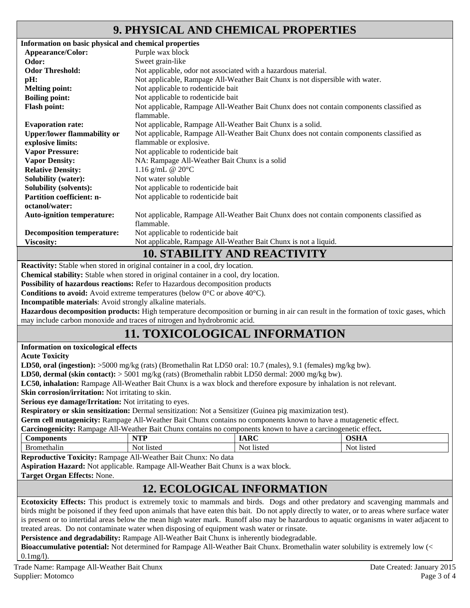## **9. PHYSICAL AND CHEMICAL PROPERTIES**

| Information on basic physical and chemical properties |                                                                                          |  |  |
|-------------------------------------------------------|------------------------------------------------------------------------------------------|--|--|
| Appearance/Color:                                     | Purple wax block                                                                         |  |  |
| Odor:                                                 | Sweet grain-like                                                                         |  |  |
| <b>Odor Threshold:</b>                                | Not applicable, odor not associated with a hazardous material.                           |  |  |
| pH:                                                   | Not applicable, Rampage All-Weather Bait Chunx is not dispersible with water.            |  |  |
| <b>Melting point:</b>                                 | Not applicable to rodenticide bait                                                       |  |  |
| <b>Boiling point:</b>                                 | Not applicable to rodenticide bait                                                       |  |  |
| <b>Flash point:</b>                                   | Not applicable, Rampage All-Weather Bait Chunx does not contain components classified as |  |  |
|                                                       | flammable.                                                                               |  |  |
| <b>Evaporation rate:</b>                              | Not applicable, Rampage All-Weather Bait Chunx is a solid.                               |  |  |
| <b>Upper/lower flammability or</b>                    | Not applicable, Rampage All-Weather Bait Chunx does not contain components classified as |  |  |
| explosive limits:                                     | flammable or explosive.                                                                  |  |  |
| <b>Vapor Pressure:</b>                                | Not applicable to rodenticide bait                                                       |  |  |
| <b>Vapor Density:</b>                                 | NA: Rampage All-Weather Bait Chunx is a solid                                            |  |  |
| <b>Relative Density:</b>                              | 1.16 g/mL @ $20^{\circ}$ C                                                               |  |  |
| <b>Solubility (water):</b>                            | Not water soluble                                                                        |  |  |
| <b>Solubility (solvents):</b>                         | Not applicable to rodenticide bait                                                       |  |  |
| <b>Partition coefficient: n-</b>                      | Not applicable to rodenticide bait                                                       |  |  |
| octanol/water:                                        |                                                                                          |  |  |
| <b>Auto-ignition temperature:</b>                     | Not applicable, Rampage All-Weather Bait Chunx does not contain components classified as |  |  |
|                                                       | flammable.                                                                               |  |  |
| <b>Decomposition temperature:</b>                     | Not applicable to rodenticide bait                                                       |  |  |
| <b>Viscosity:</b>                                     | Not applicable, Rampage All-Weather Bait Chunx is not a liquid.                          |  |  |
|                                                       | <b>10. STABILITY AND REACTIVITY</b>                                                      |  |  |

**Reactivity:** Stable when stored in original container in a cool, dry location.

**Chemical stability:** Stable when stored in original container in a cool, dry location.

**Possibility of hazardous reactions:** Refer to Hazardous decomposition products

**Conditions to avoid:** Avoid extreme temperatures (below 0°C or above 40°C).

**Incompatible materials**: Avoid strongly alkaline materials.

**Hazardous decomposition products:** High temperature decomposition or burning in air can result in the formation of toxic gases, which may include carbon monoxide and traces of nitrogen and hydrobromic acid.

# **11. TOXICOLOGICAL INFORMATION**

**Information on toxicological effects** 

**Acute Toxicity** 

**LD50, oral (ingestion):** >5000 mg/kg (rats) (Bromethalin Rat LD50 oral: 10.7 (males), 9.1 (females) mg/kg bw).

**LD50, dermal (skin contact):** > 5001 mg/kg (rats) (Bromethalin rabbit LD50 dermal: 2000 mg/kg bw).

**LC50, inhalation:** Rampage All-Weather Bait Chunx is a wax block and therefore exposure by inhalation is not relevant.

**Skin corrosion/irritation:** Not irritating to skin.

**Serious eye damage/Irritation:** Not irritating to eyes.

**Respiratory or skin sensitization:** Dermal sensitization: Not a Sensitizer (Guinea pig maximization test).

**Germ cell mutagenicity:** Rampage All-Weather Bait Chunx contains no components known to have a mutagenetic effect.

| <b>Carcinogenicity:</b> Rampage All-Weather Bait Chunx contains no components known to have a carcinogenetic effect. |            |             |             |
|----------------------------------------------------------------------------------------------------------------------|------------|-------------|-------------|
| <b>Components</b>                                                                                                    | NTP        | <b>IARC</b> | <b>OSHA</b> |
| Bromethalin                                                                                                          | Not listed | Not listed  | Not listed  |

**Reproductive Toxicity:** Rampage All-Weather Bait Chunx: No data

**Aspiration Hazard:** Not applicable. Rampage All-Weather Bait Chunx is a wax block.

**Target Organ Effects:** None.

### **12. ECOLOGICAL INFORMATION**

**Ecotoxicity Effects:** This product is extremely toxic to mammals and birds. Dogs and other predatory and scavenging mammals and birds might be poisoned if they feed upon animals that have eaten this bait. Do not apply directly to water, or to areas where surface water is present or to intertidal areas below the mean high water mark. Runoff also may be hazardous to aquatic organisms in water adjacent to treated areas. Do not contaminate water when disposing of equipment wash water or rinsate.

**Persistence and degradability:** Rampage All-Weather Bait Chunx is inherently biodegradable.

**Bioaccumulative potential:** Not determined for Rampage All-Weather Bait Chunx. Bromethalin water solubility is extremely low (< 0.1mg/l).